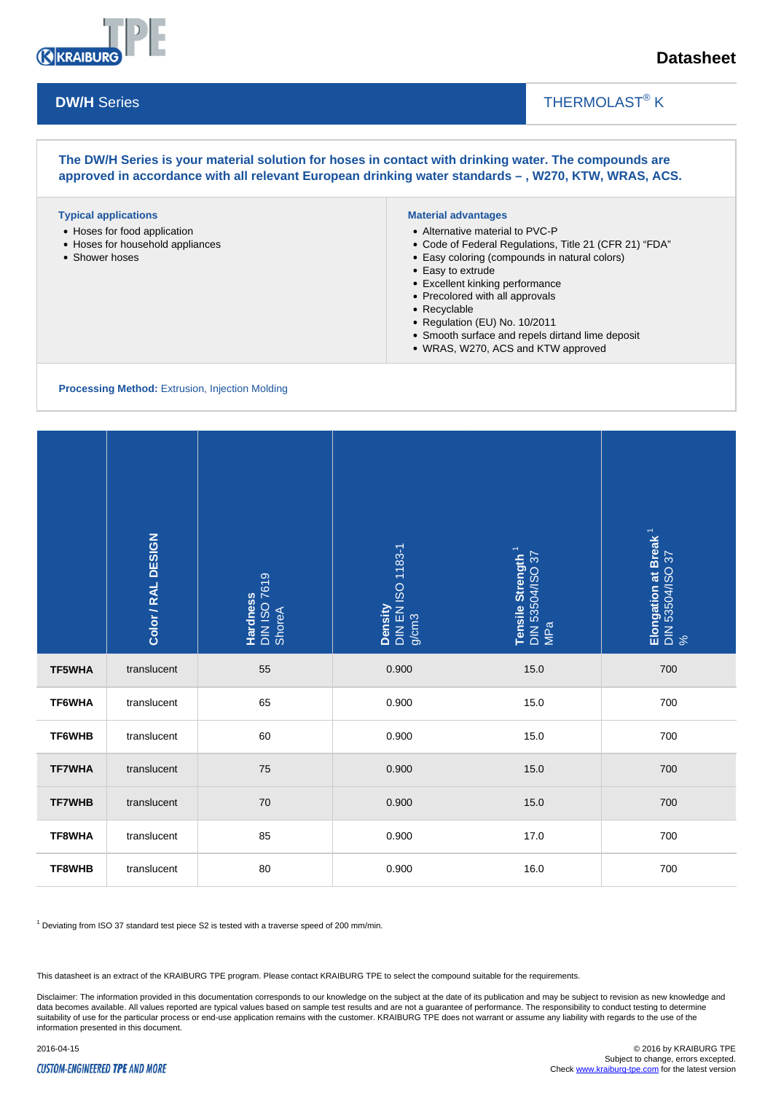

## THERMOLAST<sup>®</sup> K

**The DW/H Series is your material solution for hoses in contact with drinking water. The compounds are approved in accordance with all relevant European drinking water standards – , W270, KTW, WRAS, ACS.**

#### **Typical applications**

- Hoses for food application
- Hoses for household appliances
- Shower hoses

### **Material advantages**

- Alternative material to PVC-P
- Code of Federal Regulations, Title 21 (CFR 21) "FDA"

 $\overline{\phantom{a}}$ 

- Easy coloring (compounds in natural colors)
- Easy to extrude
- Excellent kinking performance
- Precolored with all approvals
- Recyclable
- Regulation (EU) No. 10/2011
- Smooth surface and repels dirtand lime deposit
- WRAS, W270, ACS and KTW approved

**Processing Method:** Extrusion, Injection Molding

|                                                                                                          | Color / RAL DESIGN | Hardness<br>DIN ISO 7619<br>ShoreA | Density<br>DIN EN ISO 1183-1<br>g/cm3 | Tensile Strength <sup>1</sup><br>DIN 53504/ISO 37<br>MPa | Elongation at Break <sup>1</sup><br>DIN 53504/ISO 37<br>% |
|----------------------------------------------------------------------------------------------------------|--------------------|------------------------------------|---------------------------------------|----------------------------------------------------------|-----------------------------------------------------------|
| TF5WHA                                                                                                   | translucent        | 55                                 | 0.900                                 | 15.0                                                     | 700                                                       |
| TF6WHA                                                                                                   | translucent        | 65                                 | 0.900                                 | 15.0                                                     | 700                                                       |
| TF6WHB                                                                                                   | translucent        | 60                                 | 0.900                                 | 15.0                                                     | 700                                                       |
| <b>TF7WHA</b>                                                                                            | translucent        | 75                                 | 0.900                                 | 15.0                                                     | 700                                                       |
| <b>TF7WHB</b>                                                                                            | translucent        | $70\,$                             | 0.900                                 | 15.0                                                     | 700                                                       |
| TF8WHA                                                                                                   | translucent        | 85                                 | 0.900                                 | 17.0                                                     | 700                                                       |
| TF8WHB                                                                                                   | translucent        | 80                                 | 0.900                                 | 16.0                                                     | 700                                                       |
| <sup>1</sup> Deviating from ISO 37 standard test piece S2 is tested with a traverse speed of 200 mm/min. |                    |                                    |                                       |                                                          |                                                           |

This datasheet is an extract of the KRAIBURG TPE program. Please contact KRAIBURG TPE to select the compound suitable for the requirements.

Disclaimer: The information provided in this documentation corresponds to our knowledge on the subject at the date of its publication and may be subject to revision as new knowledge and data becomes available. All values reported are typical values based on sample test results and are not a guarantee of performance. The responsibility to conduct testing to determine suitability of use for the particular process or end-use application remains with the customer. KRAIBURG TPE does not warrant or assume any liability with regards to the use of the information presented in this document.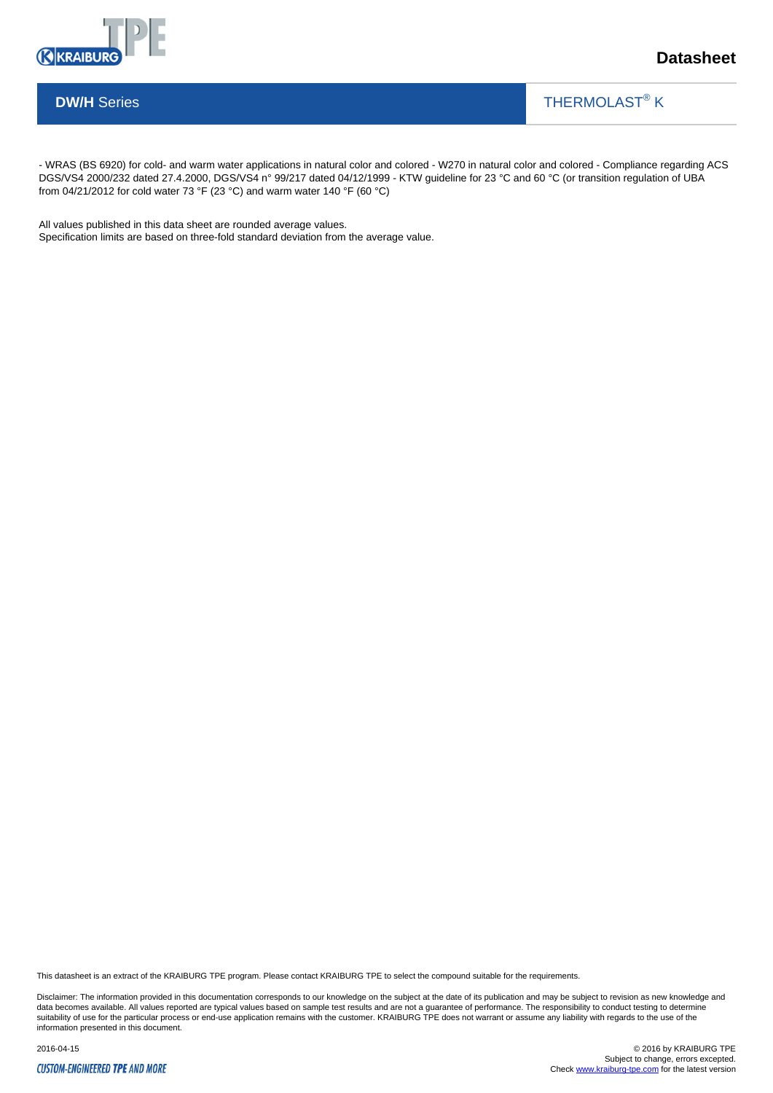

THERMOLAST<sup>®</sup> K

 $\overline{\phantom{a}}$ 

- WRAS (BS 6920) for cold- and warm water applications in natural color and colored - W270 in natural color and colored - Compliance regarding ACS DGS/VS4 2000/232 dated 27.4.2000, DGS/VS4 n° 99/217 dated 04/12/1999 - KTW guideline for 23 °C and 60 °C (or transition regulation of UBA from 04/21/2012 for cold water 73 °F (23 °C) and warm water 140 °F (60 °C)

All values published in this data sheet are rounded average values. Specification limits are based on three-fold standard deviation from the average value.

This datasheet is an extract of the KRAIBURG TPE program. Please contact KRAIBURG TPE to select the compound suitable for the requirements.

Disclaimer: The information provided in this documentation corresponds to our knowledge on the subject at the date of its publication and may be subject to revision as new knowledge and data becomes available. All values reported are typical values based on sample test results and are not a guarantee of performance. The responsibility to conduct testing to determine<br>suitability of use for the particular p information presented in this document.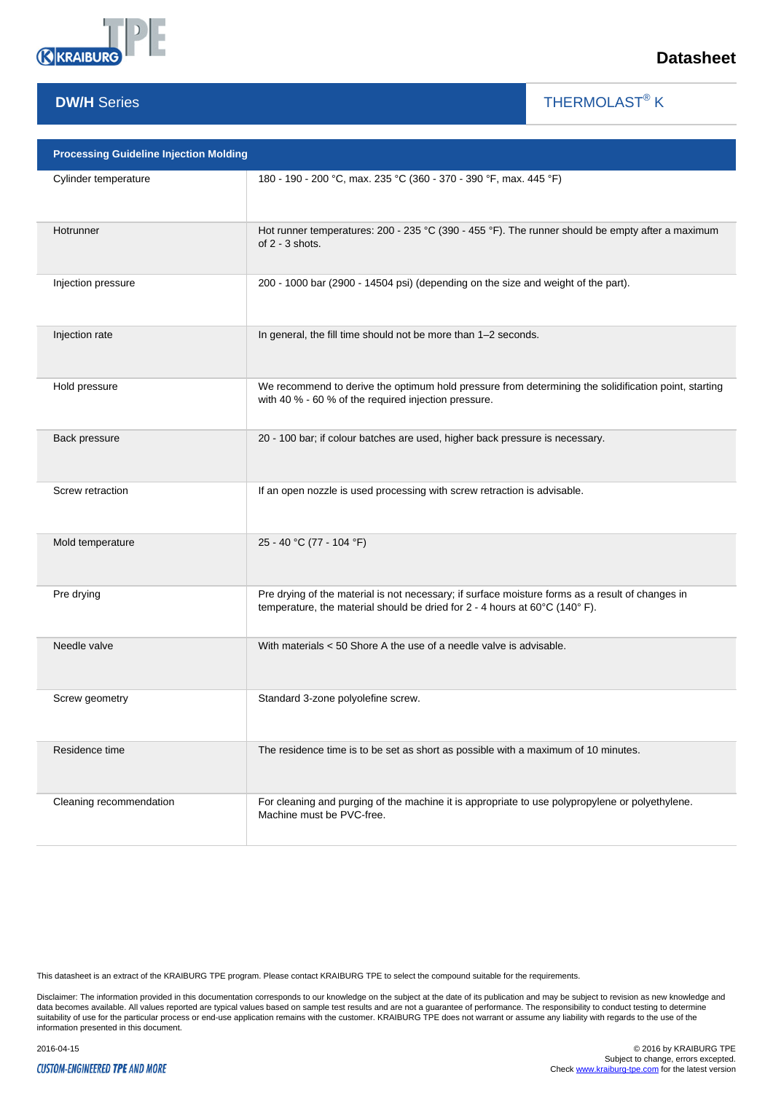

THERMOLAST<sup>®</sup> K

 $\overline{\phantom{a}}$ 

| <b>Processing Guideline Injection Molding</b> |                                                                                                                                                                                 |  |  |  |
|-----------------------------------------------|---------------------------------------------------------------------------------------------------------------------------------------------------------------------------------|--|--|--|
| Cylinder temperature                          | 180 - 190 - 200 °C, max. 235 °C (360 - 370 - 390 °F, max. 445 °F)                                                                                                               |  |  |  |
| Hotrunner                                     | Hot runner temperatures: 200 - 235 °C (390 - 455 °F). The runner should be empty after a maximum<br>of $2 - 3$ shots.                                                           |  |  |  |
| Injection pressure                            | 200 - 1000 bar (2900 - 14504 psi) (depending on the size and weight of the part).                                                                                               |  |  |  |
| Injection rate                                | In general, the fill time should not be more than 1-2 seconds.                                                                                                                  |  |  |  |
| Hold pressure                                 | We recommend to derive the optimum hold pressure from determining the solidification point, starting<br>with 40 % - 60 % of the required injection pressure.                    |  |  |  |
| Back pressure                                 | 20 - 100 bar; if colour batches are used, higher back pressure is necessary.                                                                                                    |  |  |  |
| Screw retraction                              | If an open nozzle is used processing with screw retraction is advisable.                                                                                                        |  |  |  |
| Mold temperature                              | 25 - 40 °C (77 - 104 °F)                                                                                                                                                        |  |  |  |
| Pre drying                                    | Pre drying of the material is not necessary; if surface moisture forms as a result of changes in<br>temperature, the material should be dried for 2 - 4 hours at 60°C (140° F). |  |  |  |
| Needle valve                                  | With materials $<$ 50 Shore A the use of a needle valve is advisable.                                                                                                           |  |  |  |
| Screw geometry                                | Standard 3-zone polyolefine screw.                                                                                                                                              |  |  |  |
| Residence time                                | The residence time is to be set as short as possible with a maximum of 10 minutes.                                                                                              |  |  |  |
| Cleaning recommendation                       | For cleaning and purging of the machine it is appropriate to use polypropylene or polyethylene.<br>Machine must be PVC-free.                                                    |  |  |  |

This datasheet is an extract of the KRAIBURG TPE program. Please contact KRAIBURG TPE to select the compound suitable for the requirements.

Disclaimer: The information provided in this documentation corresponds to our knowledge on the subject at the date of its publication and may be subject to revision as new knowledge and<br>data becomes available. All values r